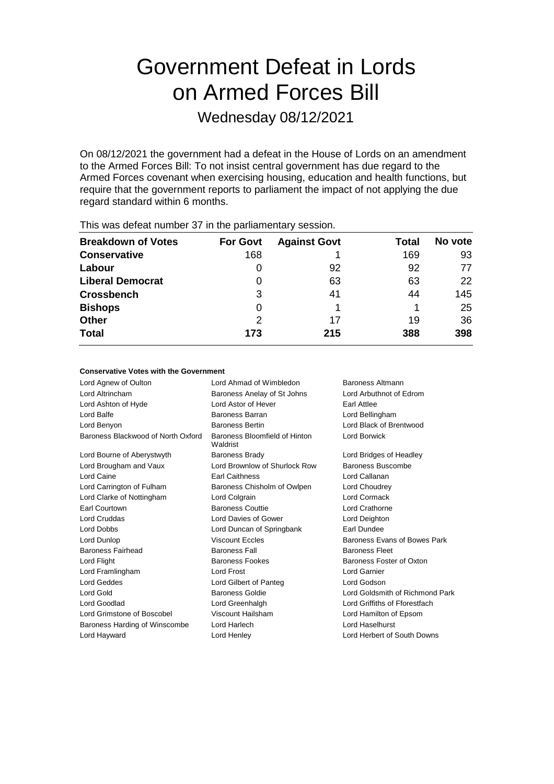# Government Defeat in Lords on Armed Forces Bill

Wednesday 08/12/2021

On 08/12/2021 the government had a defeat in the House of Lords on an amendment to the Armed Forces Bill: To not insist central government has due regard to the Armed Forces covenant when exercising housing, education and health functions, but require that the government reports to parliament the impact of not applying the due regard standard within 6 months.

| This was abloat harmon of the the parliamentary occolor. |                 |                     |       |         |  |
|----------------------------------------------------------|-----------------|---------------------|-------|---------|--|
| <b>Breakdown of Votes</b>                                | <b>For Govt</b> | <b>Against Govt</b> | Total | No vote |  |
| <b>Conservative</b>                                      | 168             |                     | 169   | 93      |  |
| Labour                                                   | $\Omega$        | 92                  | 92    | 77      |  |
| <b>Liberal Democrat</b>                                  | O               | 63                  | 63    | 22      |  |
| <b>Crossbench</b>                                        | 3               | 41                  | 44    | 145     |  |
| <b>Bishops</b>                                           | 0               |                     |       | 25      |  |
| <b>Other</b>                                             | 2               | 17                  | 19    | 36      |  |
| <b>Total</b>                                             | 173             | 215                 | 388   | 398     |  |
|                                                          |                 |                     |       |         |  |

This was defeat number 37 in the parliamentary session.

#### **Conservative Votes with the Government**

| Lord Ahmad of Wimbledon<br><b>Baroness Altmann</b> |                                 |
|----------------------------------------------------|---------------------------------|
| Baroness Anelay of St Johns                        | Lord Arbuthnot of Edrom         |
| Lord Astor of Hever                                | Earl Attlee                     |
| Baroness Barran                                    | Lord Bellingham                 |
| <b>Baroness Bertin</b>                             | Lord Black of Brentwood         |
| Baroness Bloomfield of Hinton<br>Waldrist          | Lord Borwick                    |
| <b>Baroness Brady</b>                              | Lord Bridges of Headley         |
| Lord Brownlow of Shurlock Row                      | Baroness Buscombe               |
| <b>Earl Caithness</b>                              | Lord Callanan                   |
| Baroness Chisholm of Owlpen                        | Lord Choudrey                   |
| Lord Colgrain                                      | Lord Cormack                    |
| <b>Baroness Couttie</b>                            | Lord Crathorne                  |
| Lord Davies of Gower                               | Lord Deighton                   |
| Lord Duncan of Springbank                          | Earl Dundee                     |
| Viscount Feeles                                    | Baroness Evans of Bowes Park    |
| <b>Baroness Fall</b>                               | <b>Baroness Fleet</b>           |
| <b>Baroness Fookes</b>                             | Baroness Foster of Oxton        |
| Lord Frost                                         | Lord Garnier                    |
| Lord Gilbert of Panteg                             | Lord Godson                     |
| Baroness Goldie                                    | Lord Goldsmith of Richmond Park |
| Lord Greenhalgh                                    | Lord Griffiths of Fforestfach   |
| Viscount Hailsham                                  | Lord Hamilton of Epsom          |
| Lord Harlech                                       | Lord Haselhurst                 |
| Lord Henley                                        | Lord Herbert of South Downs     |
|                                                    |                                 |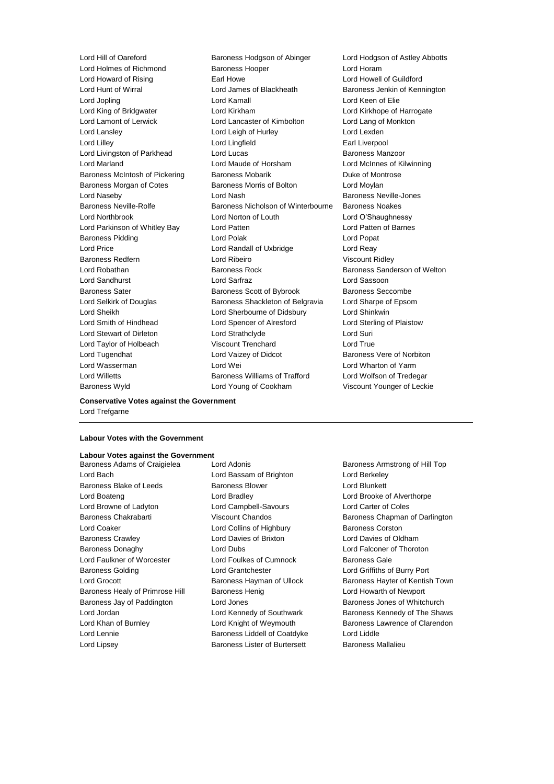Lord Hill of Oareford Baroness Hodgson of Abinger Lord Hodgson of Astley Abbotts Lord Holmes of Richmond Baroness Hooper Cord Horam Lord Howard of Rising Earl Howe Lord Howell of Guildford Lord Hunt of Wirral **Lord James of Blackheath** Baroness Jenkin of Kennington Lord Jopling **Lord Kamall** Lord Kamall **Lord Keen of Elie** Lord King of Bridgwater Lord Kirkham Lord Kirkhope of Harrogate Lord Lamont of Lerwick Lord Lancaster of Kimbolton Lord Lang of Monkton Lord Lansley Lord Leigh of Hurley Lord Lexden Lord Lilley Lord Lingfield Earl Liverpool Lord Livingston of Parkhead Lord Lucas Lord Eucas Baroness Manzoor Lord Marland Lord Maude of Horsham Lord McInnes of Kilwinning Baroness McIntosh of Pickering Baroness Mobarik Baroness Mobaring Duke of Montrose Baroness Morgan of Cotes **Baroness Morris of Bolton** Lord Moylan Lord Naseby Lord Nash Baroness Neville-Jones Baroness Neville-Rolfe Baroness Nicholson of Winterbourne Baroness Noakes Lord Northbrook Lord Norton of Louth Lord O'Shaughnessy Lord Parkinson of Whitley Bay Lord Patten Lord Patten of Barnes Baroness Pidding Lord Polak Lord Popat Lord Price Lord Randall of Uxbridge Lord Reay Baroness Redfern Lord Ribeiro Viscount Ridley Lord Robathan Baroness Rock Baroness Sanderson of Welton Lord Sandhurst Lord Sarfraz Lord Sassoon Baroness Sater Baroness Scott of Bybrook Baroness Seccombe Lord Selkirk of Douglas Baroness Shackleton of Belgravia Lord Sharpe of Epsom Lord Sheikh Lord Sherbourne of Didsbury Lord Shinkwin Lord Smith of Hindhead Lord Spencer of Alresford Lord Sterling of Plaistow Lord Stewart of Dirleton Lord Strathclyde Lord Suri Lord Taylor of Holbeach Viscount Trenchard Lord True Lord Tugendhat **Lord Vaizey of Didcot** Baroness Vere of Norbiton Lord Wasserman **Lord Wei** Lord Wei **Lord Wharton of Yarm** Lord Willetts **Baroness Williams of Trafford** Lord Wolfson of Tredegar Baroness Wyld Lord Young of Cookham Viscount Younger of Leckie

**Conservative Votes against the Government**

### Lord Trefgarne

#### **Labour Votes with the Government**

#### **Labour Votes against the Government**

Lord Bach Lord Bassam of Brighton Lord Berkeley Baroness Blake of Leeds **Baroness Blower Baroness Blower** Lord Blunkett Lord Boateng **Lord Bradley** Lord Bradley **Lord Brooke of Alverthorpe** Lord Browne of Ladyton Lord Campbell-Savours Lord Carter of Coles Baroness Chakrabarti **Marting Chandos** Viscount Chandos **Baroness Chapman of Darlington** Lord Coaker **Lord Collins of Highbury** Baroness Corston Baroness Crawley Lord Davies of Brixton Lord Davies of Oldham Baroness Donaghy Lord Dubs Lord Falconer of Thoroton Lord Faulkner of Worcester **Lord Foulkes of Cumnock** Baroness Gale Baroness Golding Lord Grantchester Lord Griffiths of Burry Port Baroness Healy of Primrose Hill Baroness Henig Lord Howarth of Newport Baroness Jay of Paddington **Lord Jones Lord Contains Container** Baroness Jones of Whitchurch Lord Jordan **Lord Kennedy of Southwark** Baroness Kennedy of The Shaws Lord Khan of Burnley **Lord Knight of Weymouth Baroness Lawrence of Clarendon** Lord Lennie **Baroness Liddell of Coatdyke** Lord Liddle Lord Lipsey **Baroness Lister of Burtersett** Baroness Mallalieu

Baroness Adams of Craigielea Lord Adonis **Baroness Armstrong of Hill Top** Lord Grocott Baroness Hayman of Ullock Baroness Hayter of Kentish Town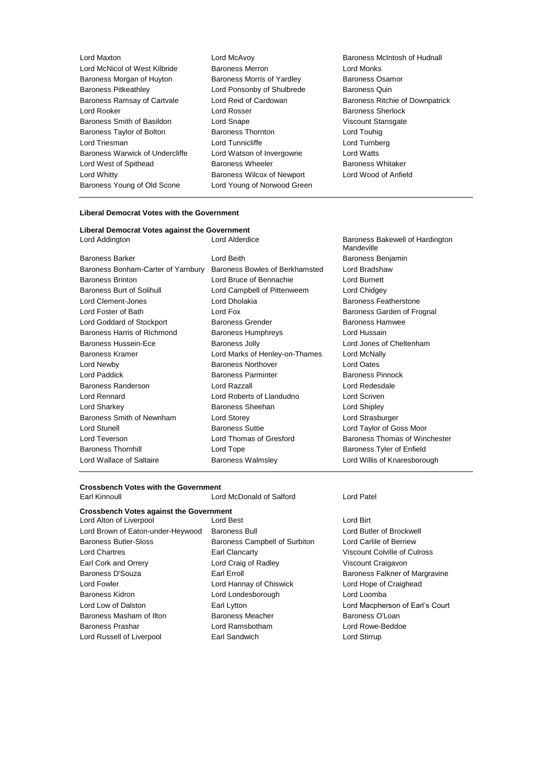- Lord Maxton Lord McAvoy Baroness McIntosh of Hudnall Lord McNicol of West Kilbride Baroness Merron Baroness Merron Lord Monks<br>
Baroness Morgan of Huvton Baroness Morris of Yardlev Baroness Osamor Baroness Morgan of Huyton Baroness Morris of Yardley Baroness Pitkeathley Lord Ponsonby of Shulbrede Baroness Quin Baroness Ramsay of Cartvale **Lord Reid of Cardowan** Baroness Ritchie of Downpatrick Lord Rooker Lord Rosser Baroness Sherlock Baroness Smith of Basildon Lord Snape Communication Viscount Stansgate Baroness Taylor of Bolton **Baroness Thornton** Baroness Thornton Lord Touhig Lord Triesman Lord Tunnicliffe Lord Turnberg Baroness Warwick of Undercliffe Lord Watson of Invergowrie Lord Watts Lord West of Spithead Baroness Wheeler Baroness Whitaker Lord Whitty Baroness Wilcox of Newport Lord Wood of Anfield Baroness Young of Old Scone Lord Young of Norwood Green
	-
- 

#### **Liberal Democrat Votes with the Government**

#### **Liberal Democrat Votes against the Government** Lord Addington Lord Alderdice Baroness Bakewell of Hardington

| <b>Baroness Barker</b>             | Lord Beith        |
|------------------------------------|-------------------|
| Baroness Bonham-Carter of Yarnbury | <b>Baroness I</b> |
| <b>Baroness Brinton</b>            | Lord Bruce        |
| <b>Baroness Burt of Solihull</b>   | Lord Camp         |
| Lord Clement-Jones                 | Lord Dhola        |
| Lord Foster of Bath                | Lord Fox          |
| Lord Goddard of Stockport          | Baroness (        |
| Baroness Harris of Richmond        | Baroness I        |
| <b>Baroness Hussein-Ece</b>        | <b>Baroness</b>   |
| <b>Baroness Kramer</b>             | Lord Marks        |
| Lord Newby                         | Baroness N        |
| <b>Lord Paddick</b>                | Baroness F        |
| <b>Baroness Randerson</b>          | Lord Razza        |
| <b>Lord Rennard</b>                | Lord Rober        |
| Lord Sharkey                       | <b>Baroness 9</b> |
| Baroness Smith of Newnham          | Lord Store        |
| <b>Lord Stunell</b>                | <b>Baroness 9</b> |
| Lord Teverson                      | Lord Thom         |
| <b>Baroness Thornhill</b>          | Lord Tope         |
| Lord Wallace of Saltaire           | Baroness \        |
|                                    |                   |

Mandeville Baroness Benjamin Bowles of Berkhamsted Lord Bradshaw of Bennachie **Lord Burnett** bbell of Pittenweem Lord Chidgey lkia **Clement-Jones Communist Designalists** Baroness Featherstone Baroness Garden of Frognal Grender **Grender** Baroness Hamwee Humphreys **Example Baroness Humphreys** Lord Hussain Jolly **Ecale Baroness Lord Jones of Cheltenham** s of Henley-on-Thames Lord McNally **Northover Lord Oates** Parminter **Baroness Pinnock** Baroness Randerson Lord Razzall Lord Redesdale rts of Llandudno Lord Scriven Sheehan **Lord Shipley** Lord Strasburger Suttie **Example 3 Lord Taylor of Goss Moor** as of Gresford **Baroness Thomas of Winchester** Baroness Tyler of Enfield Walmsley **Communist Condite Condite** Conditions Walmsley

## **Crossbench Votes with the Government**

Lord McDonald of Salford Lord Patel

#### **Crossbench Votes against the Government**

Lord Brown of Eaton-under-Heywood Baroness Bull **Lord Butler of Brockwell** Baroness Butler-Sloss **Baroness Campbell of Surbiton** Lord Carlile of Berriew Lord Chartres Earl Clancarty Viscount Colville of Culross Earl Cork and Orrery **Lord Craig of Radley Craig Cork Craigavon** Viscount Craigavon Baroness D'Souza **Earl Executes Earl Erroll** Baroness Falkner of Margravine Lord Fowler **Lord Hannay of Chiswick** Lord Hope of Craighead Baroness Kidron **Lord Londesborough** Lord Loomba Lord Low of Dalston Earl Lytton Lord Macpherson of Earl's Court Baroness Masham of Ilton **Baroness Meacher** Baroness O'Loan Baroness Prashar Lord Ramsbotham Lord Rowe-Beddoe Lord Russell of Liverpool **Earl Sandwich** Earl Sandwich Lord Stirrup

Lord Alton of Liverpool Lord Best Lord Birt